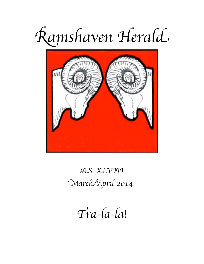



A.S. XLVIII March/April 2014

 $Tra$ - $[a$ - $[a]$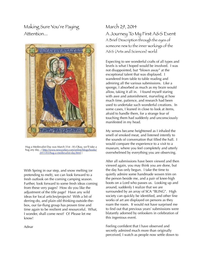Making Sure You're Paying Attention...



Hug a Medievalist Day was March 31st - It's Okay, we'll take a hug any day...( [http://www.newyorker.com/online/blogs/books/](http://www.newyorker.com/online/blogs/books/2011/03/hug-a-medievalist-day.html) [2011/03/hug-a-medievalist-day.html](http://www.newyorker.com/online/blogs/books/2011/03/hug-a-medievalist-day.html) )

With Spring in our step, and snow melting (or pretending to melt), we can look forward to a fresh outlook on the coming camping season. Further, look forward to some fresh ideas coming from these very pages! How do you like the adjustment of the title page? Have any wild ideas for local articles/projects? With a bit of derring-do, and plain old thinking-outside-thebox, our far-flung group has proven time and time again to be resilient and resourceful. What, I wonder, shall come next? O! Please let me know!

March 29, 2014 A Journey To My First A&S Event A Brief Description through the eyes of someone new to the inner workings of the A&S (Arts and Sciences) world

Expecting to see wonderful crafts of all types and levels is what I hoped would be involved. I was not disappointed, but "blown away" at the exceptional talent that was displayed. I wandered from table to table reading and admiring all the various submissions. Like a sponge, I absorbed as much as my brain would allow, taking it all in. I found myself staring with awe and astonishment, marveling at how much time, patience, and research had been used to undertake such wonderful creations. In some cases, I leaned in close to look at items, afraid to handle them, for a strange fear of touching them had suddenly and unconsciously manifested in my head.

My senses became heightened as I inhaled the smell of smoked meat, and listened intently to the sounds of conversation that filled the hall. I would compare the experience to a visit to a museum, where you feel completely and utterly overwhelmed by everything you are observing.

After all submissions have been viewed and then viewed again, you may think you are done, but the day has only begun. I take the time to quietly admire some handmade woven trim on the person beside me, and a pair of knee-high boots on a Lord who passes us. Looking up and around, suddenly I realize that we are surrounded by an array of SCA "BLING". High society can quickly be identified, and other fine works of art are displayed on persons as they roam the room. It would not have surprised me to find out that previous years' submissions were blatantly adorned by onlookers in celebration of this ingenious event.

Feeling confident that I have observed and secretly admired much more than originally perceived, I watch as people now settle down to

Adnar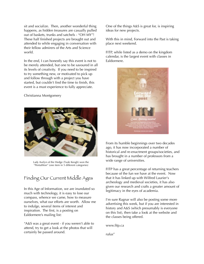sit and socialize. Then, another wonderful thing happens, as hidden treasures are casually pulled out of baskets, trunks and satchels - "OH MY"! These half finished projects are brought out and attended to while engaging in conversation with their fellow admirers of the Arts and Science world.

In the end, I can honestly say this event is not to be merely attended, but one to be savoured in all its levels of creativity. If you need to be inspired to try something new, or motivated to pick up and follow through with a project you have started, but couldn't find the time to finish, this event is a must experience to fully appreciate.

## Christianna Montgomery



Lady Avelyn of the Hedge (Tsuki Keogh) won the "Pentathlon" (one item in 5 different categories)

## Finding Our Current Middle Ages

In this Age of Information, we are inundated so much with technology, it is easy to lose our compass, whence we came, how to measure ourselves, what our efforts are worth. Allow me to indulge, several items of interest and inspiration. The first, is a posting on Ealdormere's mailing list:

"A&S was a great event - if you weren't able to attend, try to get a look at the photos that will certainly be passed around.

One of the things A&S is great for, is inspiring ideas for new projects.

With this in mind, Forward into the Past is taking place next weekend.

FITP, while listed as a demo on the kingdom calendar, is the largest event with classes in Ealdormere.



From its humble beginnings over two decades ago, it has now incorporated a number of historical and re-enactment groups/societies, and has brought in a number of professors from a wide range of universities.

FITP has a great percentage of returning teachers because of the fun we have at the event. Now that it has linked up with Wilfred Laurier's archeology and medieval societies, it has also given our research and crafts a greater amount of legitimacy in the eyes of academia.

I'm sure Ragnar will also be posting some more advertising this week, but if you are interested in history and A&S (which presumably is everyone on this list), then take a look at the website and the classes being offered.

[www.fitp.ca](http://www.fitp.ca/)

rufus"